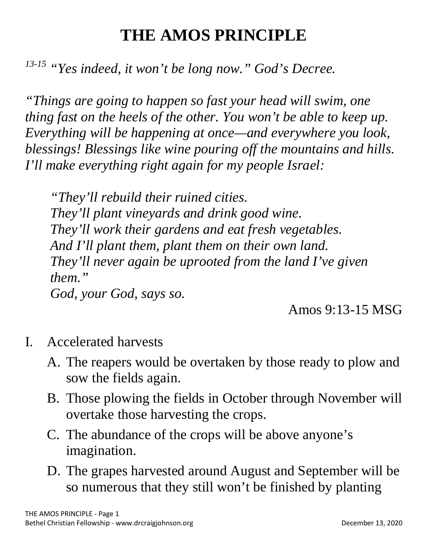## **THE AMOS PRINCIPLE**

*13-15 "Yes indeed, it won't be long now." God's Decree.*

*"Things are going to happen so fast your head will swim, one thing fast on the heels of the other. You won't be able to keep up. Everything will be happening at once—and everywhere you look, blessings! Blessings like wine pouring off the mountains and hills. I'll make everything right again for my people Israel:*

*"They'll rebuild their ruined cities. They'll plant vineyards and drink good wine. They'll work their gardens and eat fresh vegetables. And I'll plant them, plant them on their own land. They'll never again be uprooted from the land I've given them." God, your God, says so.*

Amos 9:13-15 MSG

- I. Accelerated harvests
	- A. The reapers would be overtaken by those ready to plow and sow the fields again.
	- B. Those plowing the fields in October through November will overtake those harvesting the crops.
	- C. The abundance of the crops will be above anyone's imagination.
	- D. The grapes harvested around August and September will be so numerous that they still won't be finished by planting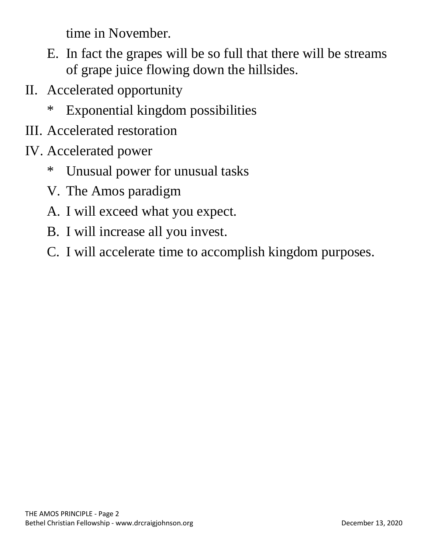time in November.

- E. In fact the grapes will be so full that there will be streams of grape juice flowing down the hillsides.
- II. Accelerated opportunity
	- \* Exponential kingdom possibilities
- III. Accelerated restoration
- IV. Accelerated power
	- \* Unusual power for unusual tasks
	- V. The Amos paradigm
	- A. I will exceed what you expect.
	- B. I will increase all you invest.
	- C. I will accelerate time to accomplish kingdom purposes.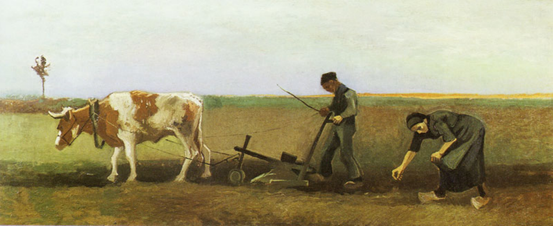